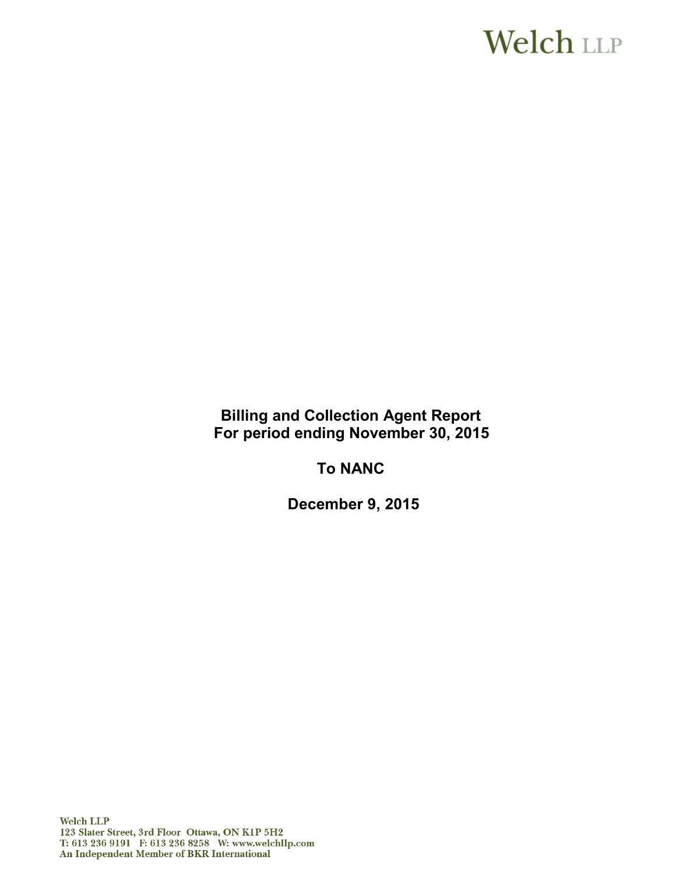# **Welch LLP**

**Billing and Collection Agent Report For period ending November 30, 2015** 

**To NANC**

**December 9, 2015**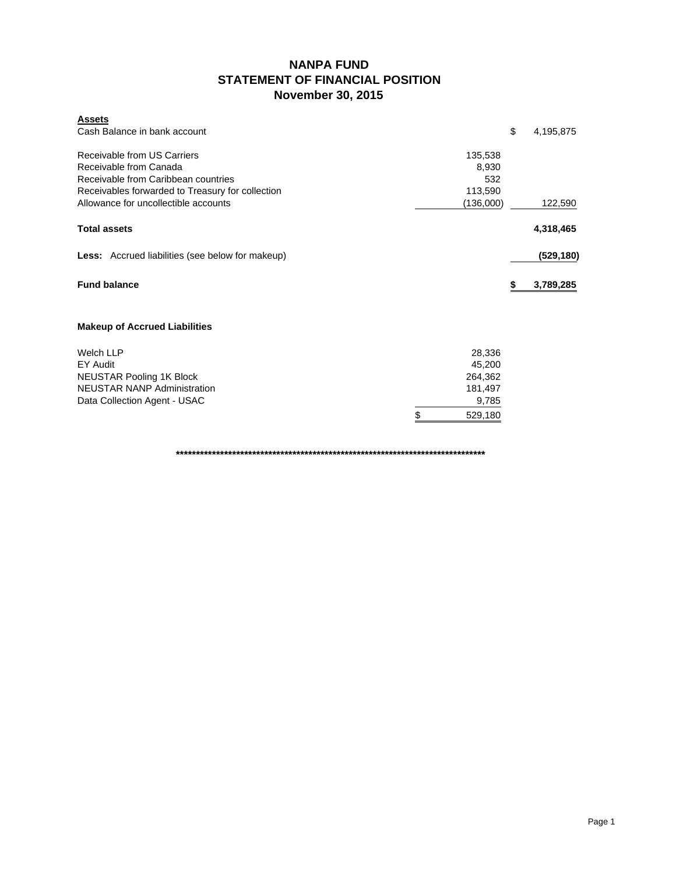### **NANPA FUND STATEMENT OF FINANCIAL POSITION November 30, 2015**

| <b>Assets</b><br>Cash Balance in bank account                                                                                                    |                                    | \$<br>4,195,875 |
|--------------------------------------------------------------------------------------------------------------------------------------------------|------------------------------------|-----------------|
| Receivable from US Carriers<br>Receivable from Canada<br>Receivable from Caribbean countries<br>Receivables forwarded to Treasury for collection | 135,538<br>8,930<br>532<br>113,590 |                 |
| Allowance for uncollectible accounts                                                                                                             | (136,000)                          | 122,590         |
| <b>Total assets</b>                                                                                                                              |                                    | 4,318,465       |
| <b>Less:</b> Accrued liabilities (see below for makeup)                                                                                          |                                    | (529, 180)      |
| <b>Fund balance</b>                                                                                                                              |                                    | 3,789,285       |
| <b>Makeup of Accrued Liabilities</b>                                                                                                             |                                    |                 |
| <b>Welch LLP</b><br><b>EY Audit</b>                                                                                                              | 28,336<br>45,200                   |                 |
| <b>NEUSTAR Pooling 1K Block</b>                                                                                                                  | 264,362                            |                 |
| <b>NEUSTAR NANP Administration</b><br>Data Collection Agent - USAC                                                                               | 181,497<br>9,785                   |                 |
|                                                                                                                                                  | \$<br>529,180                      |                 |

**\*\*\*\*\*\*\*\*\*\*\*\*\*\*\*\*\*\*\*\*\*\*\*\*\*\*\*\*\*\*\*\*\*\*\*\*\*\*\*\*\*\*\*\*\*\*\*\*\*\*\*\*\*\*\*\*\*\*\*\*\*\*\*\*\*\*\*\*\*\*\*\*\*\*\*\*\***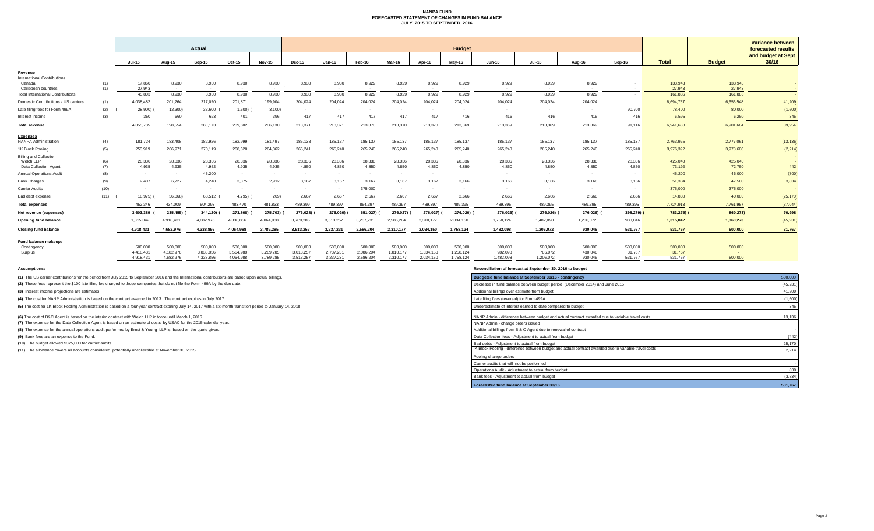#### **NANPA FUND FORECASTED STATEMENT OF CHANGES IN FUND BALANCE JULY 2015 TO SEPTEMBER 2016**

|                                                |            | Actual                 |                      |                           |                      |                      | <b>Budget</b>        |                           |                          |                          |                      |                      |                    |                    |                    |                   |                                          |                   | <b>Variance between</b> |
|------------------------------------------------|------------|------------------------|----------------------|---------------------------|----------------------|----------------------|----------------------|---------------------------|--------------------------|--------------------------|----------------------|----------------------|--------------------|--------------------|--------------------|-------------------|------------------------------------------|-------------------|-------------------------|
|                                                |            |                        |                      |                           |                      |                      |                      |                           |                          |                          |                      |                      |                    |                    |                    |                   | forecasted results<br>and budget at Sept |                   |                         |
|                                                |            | <b>Jul-15</b>          | Aug-15               | <b>Sep-15</b>             | Oct-15               | <b>Nov-15</b>        | <b>Dec-15</b>        | Jan-16                    | Feb-16                   | Mar-16                   | Apr-16               | May-16               | <b>Jun-16</b>      | <b>Jul-16</b>      | Aug-16             | Sep-16            | <b>Total</b>                             | <b>Budget</b>     | 30/16                   |
| Revenue<br><b>International Contributions</b>  |            |                        |                      |                           |                      |                      |                      |                           |                          |                          |                      |                      |                    |                    |                    |                   |                                          |                   |                         |
| Canada<br>Caribbean countries                  | (1)<br>(1) | 17,860<br>27,943       | 8,930<br>$\sim$      | 8,930<br>$\sim$ 100 $\mu$ | 8,930<br>$\sim$      | 8,930<br>$\sim$      | 8,930                | 8,930<br>$\sim$ 100 $\mu$ | 8,929<br>$\sim$          | 8,929<br>$\sim$          | 8,929<br>$\sim$      | 8,929<br>$\sim$      | 8,929<br>$\sim$    | 8,929<br>$\sim$    | 8,929<br>$\sim$    | $\sim$            | 133,943<br>27,943                        | 133,943<br>27,943 |                         |
| <b>Total International Contributions</b>       |            | 45.803                 | 8,930                | 8,930                     | 8,930                | 8,930                | 8,930                | 8,930                     | 8,929                    | 8,929                    | 8,929                | 8,929                | 8,929              | 8,929              | 8,929              |                   | 161,886                                  | 161,886           |                         |
| Domestic Contributions - US carriers           | (1)        | 4,038,482              | 201,264              | 217,020                   | 201,871              | 199,904              | 204,024              | 204,024                   | 204,024                  | 204,024                  | 204.024              | 204.024              | 204.024            | 204,024            | 204.024            |                   | 6,694,757                                | 6,653,548         | 41,209                  |
| Late filing fees for Form 499A                 | (2)        | 28,900)                | 12,300               | 33,600                    | 1,600)               | 3,100                |                      |                           |                          |                          |                      |                      |                    |                    |                    | 90,700            | 78,400                                   | 80,000            | (1,600)                 |
| Interest income                                | (3)        | 350                    | 660                  | 623                       | 401                  | 396                  | 417                  | 417                       | 417                      | 417                      | 417                  | 416                  | 416                | 416                | 416                | 416               | 6,595                                    | 6,250             | 345                     |
| <b>Total revenue</b>                           |            | 4.055.735              | 198.554              | 260.173                   | 209,602              | 206,130              | 213,371              | 213,371                   | 213,370                  | 213,370                  | 213,370              | 213.369              | 213,369            | 213,369            | 213,369            | 91.116            | 6.941.638                                | 6.901.684         | 39,954                  |
| <b>Expenses</b><br><b>NANPA Administration</b> | (4)        | 181,724                | 183,408              | 182,926                   | 182,999              | 181,497              | 185,138              | 185,137                   | 185,137                  | 185,137                  | 185,137              | 185,137              | 185,137            | 185,137            | 185,137            | 185,137           | 2,763,925                                | 2,777,061         | (13, 136)               |
| 1K Block Pooling                               | (5)        | 253,919                | 266,971              | 270,119                   | 268,620              | 264,362              | 265,241              | 265,240                   | 265,240                  | 265,240                  | 265,240              | 265,240              | 265,240            | 265,240            | 265,240            | 265,240           | 3,976,392                                | 3,978,606         | (2, 214)                |
| <b>Billing and Collection</b>                  |            |                        |                      |                           |                      |                      |                      |                           |                          |                          |                      |                      |                    |                    |                    |                   |                                          |                   |                         |
| Welch LLP                                      | (6)        | 28,336                 | 28,336               | 28,336                    | 28,336               | 28,336               | 28,336               | 28,336                    | 28,336                   | 28,336                   | 28,336               | 28,336               | 28,336             | 28,336             | 28,336             | 28,336            | 425,040                                  | 425,040           |                         |
| Data Collection Agent                          | (7)        | 4,935                  | 4,935                | 4,952                     | 4,935                | 4,935                | 4,850                | 4,850                     | 4,850                    | 4,850                    | 4,850                | 4,850                | 4,850              | 4,850              | 4.850              | 4.850             | 73,192                                   | 72,750            | 442                     |
| Annual Operations Audit                        | (8)        | $\sim$                 | $\sim$               | 45,200                    | $\sim$               | $\sim$               | $\sim$               | $\sim$                    | $\overline{\phantom{a}}$ | $\overline{\phantom{a}}$ | $\sim$               |                      |                    | $\sim$             | $\sim$             | $\sim$            | 45,200                                   | 46,000            | (800)                   |
| <b>Bank Charges</b>                            | (9)        | 2,407                  | 6,727                | 4,248                     | 3.375                | 2,912                | 3.167                | 3.167                     | 3.167                    | 3,167                    | 3,167                | 3.166                | 3,166              | 3.166              | 3.166              | 3.166             | 51,334                                   | 47,500            | 3,834                   |
| <b>Carrier Audits</b>                          | (10)       | $\sim$                 | $\sim$               | $\sim$                    |                      |                      |                      |                           | 375,000                  |                          |                      |                      |                    |                    |                    |                   | 375,000                                  | 375,000           |                         |
| Bad debt expense                               | (11)       | 18,975)                | 56,368)              | 68,512                    | 4,795)               | 209)                 | 2,667                | 2,667                     | 2,667                    | 2,667                    | 2,667                | 2,666                | 2,666              | 2,666              | 2,666              | 2,666             | 14,830                                   | 40,000            | (25, 170)               |
| <b>Total expenses</b>                          |            | 452.346                | 434.009              | 604,293                   | 483.470              | 481.833              | 489,399              | 489.397                   | 864.397                  | 489.397                  | 489.397              | 489.395              | 489.395            | 489.395            | 489,395            | 489.395           | 7.724.913                                | 7.761.957         | (37, 044)               |
| Net revenue (expenses)                         |            | 3,603,389              | 235,455)             | 344,120)                  | 273,868)             | 275,703)             | 276,028)             | 276,026)                  | 651,027)                 | 276,027)                 | 276,027)             | 276,026)             | 276,026)           | 276,026) (         | 276,026)           | 398,279)          | 783,275) (                               | 860,273)          | 76,998                  |
| Opening fund balance                           |            | 1.315.042              | 4.918.431            | 4.682.976                 | 4.338.856            | 4.064.988            | 3,789,285            | 3,513,257                 | 3.237.231                | 2,586,204                | 2.310.177            | 2,034,150            | 1,758,124          | 1,482,098          | 1,206,072          | 930,046           | 1,315,042                                | 1,360,273         | (45, 231)               |
| <b>Closing fund balance</b>                    |            | 4.918.43               | 4,682,976            | 4,338,856                 | 4,064,988            | 3,789,285            | 3,513,257            | 3,237,231                 | 2,586,204                | 2,310,177                | 2,034,150            | 1,758,124            | 1,482,098          | 1,206,072          | 930,046            | 531,767           | 531,767                                  | 500,000           | 31,767                  |
| Fund balance makeup:                           |            |                        |                      |                           |                      |                      |                      |                           |                          |                          |                      |                      |                    |                    |                    |                   |                                          |                   |                         |
| Contingency                                    |            | 500,000                | 500,000<br>4.182.976 | 500,000<br>3.838.856      | 500,000<br>3.564.988 | 500,000<br>3.289.285 | 500,000<br>3.013.257 | 500,000<br>2.737.231      | 500,000<br>2.086.204     | 500,000<br>1.810.177     | 500,000<br>1.534.150 | 500,000<br>1.258.124 | 500,000<br>982.098 | 500,000<br>706.072 | 500,000<br>430.046 | 500,000<br>31.767 | 500,000<br>31,767                        | 500,000           |                         |
| Surplus                                        |            | 4.418.431<br>4.918.431 | 4.682.976            | 4.338.856                 | 4.064.988            | 3.789.285            | 3.513.257            | 3.237.231                 | 2.586.204                | 2.310.177                | 2.034.150            | 1.758.124            | 1.482.098          | 1.206.072          | 930.046            | 531.767           | 531.767                                  | $\sim$<br>500,000 |                         |

**(1)** The US carrier contributions for the period from July 2015 to September 2016 and the International contributions are based upon actual billings.

(2) These fees represent the \$100 late filing fee charged to those companies that do not file the Form 499A by the due date.

**(3)** Interest income projections are estimates

**(4)** The cost for NANP Administration is based on the contract awarded in 2013. The contract expires in July 2017.

(5) The cost for 1K Block Pooling Administration is based on a four-year contract expiring July 14, 2017 with a six-month transition period to January 14, 2018.

**(6)** The cost of B&C Agent is based on the interim contract with Welch LLP in force until March 1, 2016.

**(7)** The expense for the Data Collection Agent is based on an estimate of costs by USAC for the 2015 calendar year.

**(8)** The expense for the annual operations audit performed by Ernst & Young LLP is based on the quote given.

**(9)** Bank fees are an expense to the Fund.

**(10)** The budget allowed \$375,000 for carrier audits.

**(11)** The allowance covers all accounts considered potentially uncollectible at November 30, 2015.

**Assumptions: Reconciliation of forecast at September 30, 2016 to budget**

| Budgeted fund balance at September 30/16 - contingency                                                | 500,000   |
|-------------------------------------------------------------------------------------------------------|-----------|
| Decrease in fund balance between budget period (December 2014) and June 2015                          | (45, 231) |
| Additional billings over estimate from budget                                                         | 41.209    |
| Late filing fees (reversal) for Form 499A                                                             | (1,600)   |
| Underestimate of interest earned to date compared to budget                                           | 345       |
| NANP Admin - difference between budget and actual contract awarded due to variable travel costs       | 13.136    |
| NANP Admin - change orders issued                                                                     |           |
| Additional billings from B & C Agent due to renewal of contract                                       |           |
| Data Collection fees - Adjustment to actual from budget                                               | (442)     |
| Bad debts - Adjustment to actual from budget                                                          | 25.170    |
| IK Block Pooling - difference between budget and actual contract awarded due to variable travel costs | 2.214     |
| Pooling change orders                                                                                 |           |
| Carrier audits that will not be performed                                                             |           |
| Operations Audit - Adjustment to actual from budget                                                   | 800       |
| Bank fees - Adjustment to actual from budget                                                          | (3,834)   |
| Forecasted fund balance at September 30/16                                                            | 531.767   |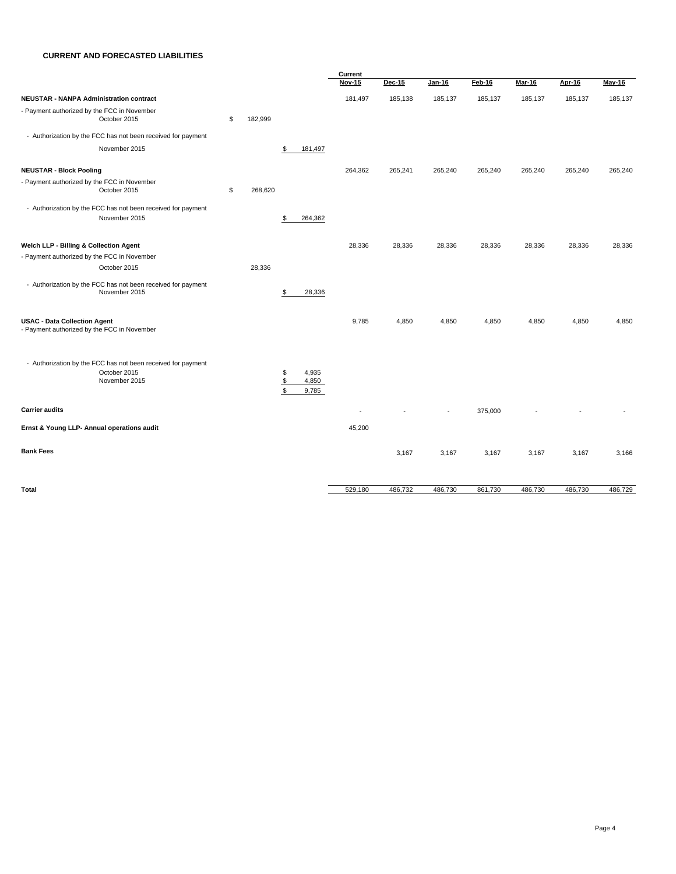#### **CURRENT AND FORECASTED LIABILITIES**

|                                                                                               |               |                                          | Current       |         |         |         |         |         |         |  |
|-----------------------------------------------------------------------------------------------|---------------|------------------------------------------|---------------|---------|---------|---------|---------|---------|---------|--|
|                                                                                               |               |                                          | <b>Nov-15</b> | Dec-15  | Jan-16  | Feb-16  | Mar-16  | Apr-16  | May-16  |  |
| <b>NEUSTAR - NANPA Administration contract</b>                                                |               |                                          | 181,497       | 185,138 | 185,137 | 185,137 | 185,137 | 185,137 | 185,137 |  |
| - Payment authorized by the FCC in November<br>October 2015                                   | \$<br>182,999 |                                          |               |         |         |         |         |         |         |  |
| - Authorization by the FCC has not been received for payment                                  |               |                                          |               |         |         |         |         |         |         |  |
| November 2015                                                                                 |               | 181,497<br>\$                            |               |         |         |         |         |         |         |  |
| <b>NEUSTAR - Block Pooling</b>                                                                |               |                                          | 264,362       | 265,241 | 265,240 | 265,240 | 265,240 | 265,240 | 265,240 |  |
| - Payment authorized by the FCC in November<br>October 2015                                   | \$<br>268,620 |                                          |               |         |         |         |         |         |         |  |
| - Authorization by the FCC has not been received for payment<br>November 2015                 |               | \$<br>264,362                            |               |         |         |         |         |         |         |  |
| Welch LLP - Billing & Collection Agent<br>- Payment authorized by the FCC in November         |               |                                          | 28,336        | 28,336  | 28,336  | 28,336  | 28,336  | 28,336  | 28,336  |  |
| October 2015<br>- Authorization by the FCC has not been received for payment<br>November 2015 | 28,336        | \$<br>28,336                             |               |         |         |         |         |         |         |  |
| <b>USAC - Data Collection Agent</b><br>- Payment authorized by the FCC in November            |               |                                          | 9,785         | 4,850   | 4,850   | 4,850   | 4,850   | 4,850   | 4,850   |  |
| - Authorization by the FCC has not been received for payment<br>October 2015<br>November 2015 |               | \$<br>4,935<br>4,850<br>\$<br>S<br>9,785 |               |         |         |         |         |         |         |  |
| <b>Carrier audits</b>                                                                         |               |                                          |               |         |         | 375,000 |         |         |         |  |
| Ernst & Young LLP- Annual operations audit                                                    |               |                                          | 45,200        |         |         |         |         |         |         |  |
| <b>Bank Fees</b>                                                                              |               |                                          |               | 3,167   | 3,167   | 3,167   | 3,167   | 3,167   | 3,166   |  |
| Total                                                                                         |               |                                          | 529,180       | 486,732 | 486,730 | 861,730 | 486,730 | 486,730 | 486,729 |  |